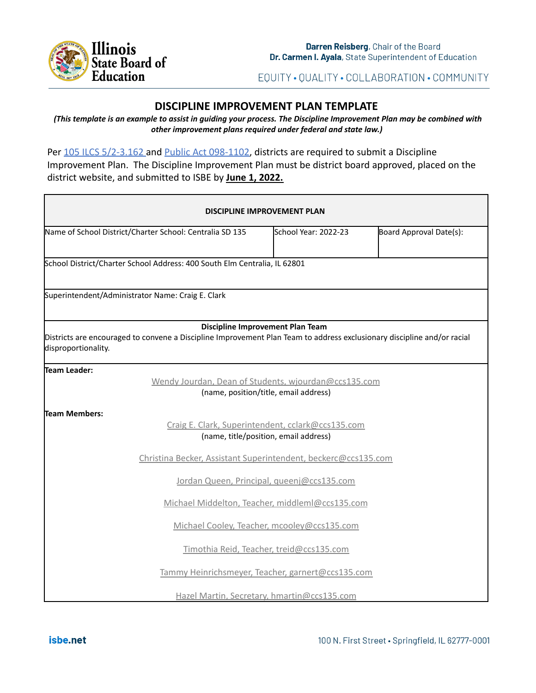

EQUITY · QUALITY · COLLABORATION · COMMUNITY

# **DISCIPLINE IMPROVEMENT PLAN TEMPLATE**

(This template is an example to assist in guiding your process. The Discipline Improvement Plan may be combined with *other improvement plans required under federal and state law.)*

Per [105 ILCS 5/2-3.162](https://www.ilga.gov/legislation/ilcs/fulltext.asp?DocName=010500050K2-3.162#:~:text=2%2D3.162.,report%3B%20school%20discipline%20improvement%20plan.&text=This%20report%20shall%20include%20data,the%20State%20Board%20of%20Education.) and [Public Act](https://www.ilga.gov/legislation/publicacts/fulltext.asp?Name=098-1102) 098-1102, districts are required to submit a Discipline Improvement Plan. The Discipline Improvement Plan must be district board approved, placed on the district website, and submitted to ISBE by **June 1, 2022.**

| <b>DISCIPLINE IMPROVEMENT PLAN</b>                                                                                                                                                 |                      |                         |
|------------------------------------------------------------------------------------------------------------------------------------------------------------------------------------|----------------------|-------------------------|
| Name of School District/Charter School: Centralia SD 135                                                                                                                           | School Year: 2022-23 | Board Approval Date(s): |
| School District/Charter School Address: 400 South Elm Centralia, IL 62801                                                                                                          |                      |                         |
| Superintendent/Administrator Name: Craig E. Clark                                                                                                                                  |                      |                         |
| Discipline Improvement Plan Team<br>Districts are encouraged to convene a Discipline Improvement Plan Team to address exclusionary discipline and/or racial<br>disproportionality. |                      |                         |
| Team Leader:<br>Wendy Jourdan, Dean of Students, wjourdan@ccs135.com<br>(name, position/title, email address)                                                                      |                      |                         |
| Team Members:<br>Craig E. Clark, Superintendent, cclark@ccs135.com<br>(name, title/position, email address)                                                                        |                      |                         |
| Christina Becker, Assistant Superintendent, beckerc@ccs135.com                                                                                                                     |                      |                         |
| Jordan Queen, Principal, queenj@ccs135.com                                                                                                                                         |                      |                         |
| Michael Middelton, Teacher, middleml@ccs135.com                                                                                                                                    |                      |                         |
| Michael Cooley, Teacher, mcooley@ccs135.com                                                                                                                                        |                      |                         |
| Timothia Reid, Teacher, treid@ccs135.com                                                                                                                                           |                      |                         |
| Tammy Heinrichsmeyer, Teacher, garnert@ccs135.com                                                                                                                                  |                      |                         |
| Hazel Martin, Secretary, hmartin@ccs135.com                                                                                                                                        |                      |                         |